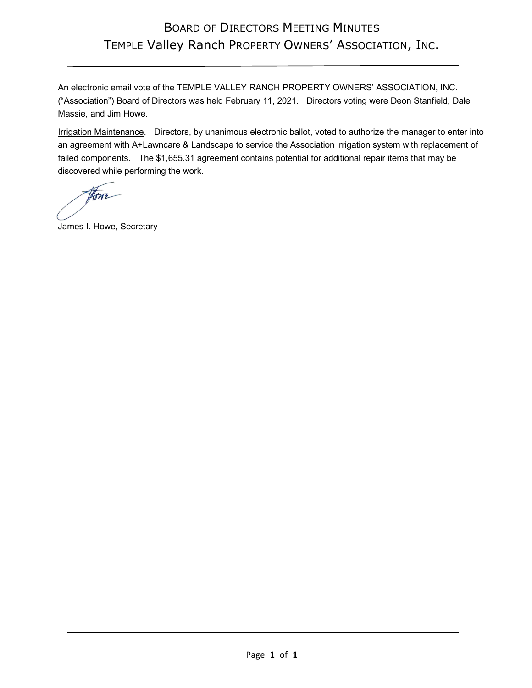## BOARD OF DIRECTORS MEETING MINUTES TEMPLE Valley Ranch PROPERTY OWNERS' ASSOCIATION, INC.

An electronic email vote of the TEMPLE VALLEY RANCH PROPERTY OWNERS' ASSOCIATION, INC. ("Association") Board of Directors was held February 11, 2021. Directors voting were Deon Stanfield, Dale Massie, and Jim Howe.

Irrigation Maintenance. Directors, by unanimous electronic ballot, voted to authorize the manager to enter into an agreement with A+Lawncare & Landscape to service the Association irrigation system with replacement of failed components. The \$1,655.31 agreement contains potential for additional repair items that may be discovered while performing the work.

Atus

James I. Howe, Secretary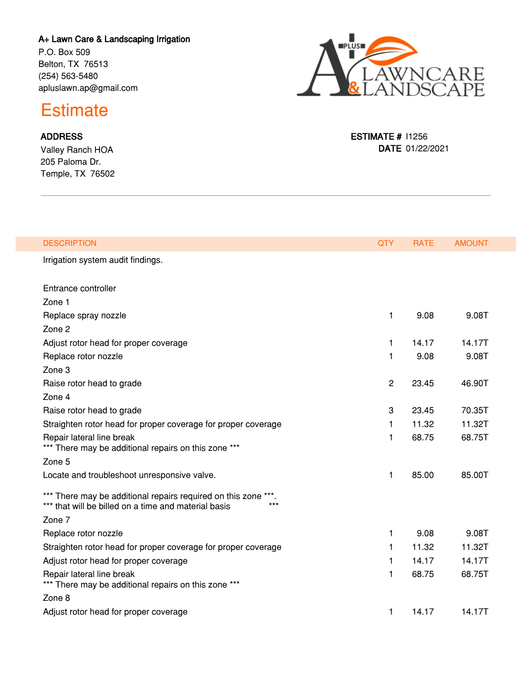## **A+ Lawn Care & Landscaping Irrigation**

P.O. Box 509 Belton, TX 76513 (254) 563-5480 apluslawn.ap@gmail.com



## **Estimate**

## **ADDRESS**

Valley Ranch HOA 205 Paloma Dr. Temple, TX 76502

| <b>DESCRIPTION</b>                                                                                                            | <b>QTY</b>     | <b>RATE</b> | <b>AMOUNT</b> |
|-------------------------------------------------------------------------------------------------------------------------------|----------------|-------------|---------------|
| Irrigation system audit findings.                                                                                             |                |             |               |
| Entrance controller                                                                                                           |                |             |               |
| Zone 1                                                                                                                        |                |             |               |
| Replace spray nozzle                                                                                                          | 1              | 9.08        | 9.08T         |
| Zone 2                                                                                                                        |                |             |               |
| Adjust rotor head for proper coverage                                                                                         | 1              | 14.17       | 14.17T        |
| Replace rotor nozzle                                                                                                          | 1              | 9.08        | 9.08T         |
| Zone 3                                                                                                                        |                |             |               |
| Raise rotor head to grade                                                                                                     | $\overline{c}$ | 23.45       | 46.90T        |
| Zone 4                                                                                                                        |                |             |               |
| Raise rotor head to grade                                                                                                     | 3              | 23.45       | 70.35T        |
| Straighten rotor head for proper coverage for proper coverage                                                                 | 1              | 11.32       | 11.32T        |
| Repair lateral line break<br>*** There may be additional repairs on this zone ***                                             | 1              | 68.75       | 68.75T        |
| Zone 5                                                                                                                        |                |             |               |
| Locate and troubleshoot unresponsive valve.                                                                                   | 1              | 85.00       | 85.00T        |
| *** There may be additional repairs required on this zone ***.<br>*** that will be billed on a time and material basis<br>*** |                |             |               |
| Zone 7                                                                                                                        |                |             |               |
| Replace rotor nozzle                                                                                                          | 1              | 9.08        | 9.08T         |
| Straighten rotor head for proper coverage for proper coverage                                                                 | 1              | 11.32       | 11.32T        |
| Adjust rotor head for proper coverage                                                                                         | 1              | 14.17       | 14.17T        |
| Repair lateral line break<br>*** There may be additional repairs on this zone ***                                             | 1              | 68.75       | 68.75T        |
| Zone 8                                                                                                                        |                |             |               |
| Adjust rotor head for proper coverage                                                                                         | 1              | 14.17       | 14.17T        |

**ESTIMATE #** I1256 **DATE** 01/22/2021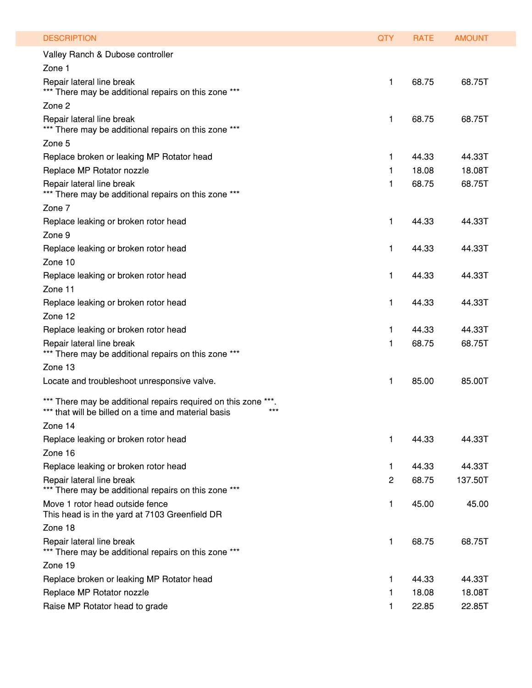| <b>DESCRIPTION</b>                                                                                                             | <b>QTY</b> | <b>RATE</b> | <b>AMOUNT</b> |
|--------------------------------------------------------------------------------------------------------------------------------|------------|-------------|---------------|
| Valley Ranch & Dubose controller                                                                                               |            |             |               |
| Zone 1                                                                                                                         |            |             |               |
| Repair lateral line break                                                                                                      | 1          | 68.75       | 68.75T        |
| *** There may be additional repairs on this zone ***                                                                           |            |             |               |
| Zone 2                                                                                                                         |            |             |               |
| Repair lateral line break<br>*** There may be additional repairs on this zone ***                                              | 1.         | 68.75       | 68.75T        |
| Zone 5                                                                                                                         |            |             |               |
| Replace broken or leaking MP Rotator head                                                                                      | 1          | 44.33       | 44.33T        |
| Replace MP Rotator nozzle                                                                                                      | 1          | 18.08       | 18.08T        |
| Repair lateral line break<br>*** There may be additional repairs on this zone ***                                              | 1          | 68.75       | 68.75T        |
| Zone 7                                                                                                                         |            |             |               |
| Replace leaking or broken rotor head                                                                                           | 1          | 44.33       | 44.33T        |
| Zone 9                                                                                                                         |            |             |               |
| Replace leaking or broken rotor head                                                                                           | 1          | 44.33       | 44.33T        |
| Zone 10                                                                                                                        |            |             |               |
| Replace leaking or broken rotor head                                                                                           | 1          | 44.33       | 44.33T        |
| Zone 11                                                                                                                        |            |             |               |
| Replace leaking or broken rotor head                                                                                           | 1          | 44.33       | 44.33T        |
| Zone 12                                                                                                                        |            |             |               |
| Replace leaking or broken rotor head                                                                                           | 1          | 44.33       | 44.33T        |
| Repair lateral line break<br>*** There may be additional repairs on this zone ***                                              | 1          | 68.75       | 68.75T        |
| Zone 13                                                                                                                        |            |             |               |
| Locate and troubleshoot unresponsive valve.                                                                                    | 1          | 85.00       | 85.00T        |
| *** There may be additional repairs required on this zone ***<br>$***$<br>*** that will be billed on a time and material basis |            |             |               |
| Zone 14                                                                                                                        |            |             |               |
| Replace leaking or broken rotor head                                                                                           | 1.         | 44.33       | 44.33T        |
| Zone 16                                                                                                                        |            |             |               |
| Replace leaking or broken rotor head                                                                                           | 1.         | 44.33       | 44.33T        |
| Repair lateral line break<br>*** There may be additional repairs on this zone ***                                              | 2          | 68.75       | 137.50T       |
| Move 1 rotor head outside fence<br>This head is in the yard at 7103 Greenfield DR                                              | 1          | 45.00       | 45.00         |
| Zone 18                                                                                                                        |            |             |               |
| Repair lateral line break<br>*** There may be additional repairs on this zone ***                                              | 1.         | 68.75       | 68.75T        |
| Zone 19                                                                                                                        |            |             |               |
| Replace broken or leaking MP Rotator head                                                                                      | 1.         | 44.33       | 44.33T        |
| Replace MP Rotator nozzle                                                                                                      | 1.         | 18.08       | 18.08T        |
| Raise MP Rotator head to grade                                                                                                 | 1          | 22.85       | 22.85T        |